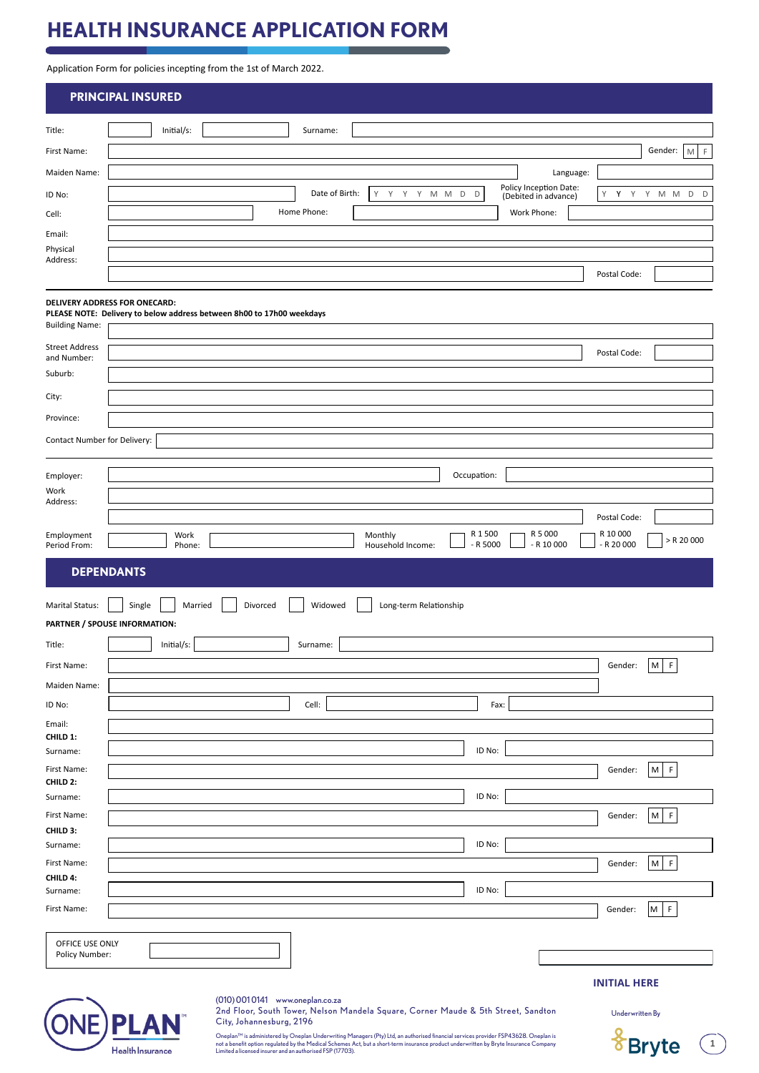# **HEALTH INSURANCE APPLICATION FORM**

Application Form for policies incepting from the 1st of March 2022.

|                                      | <b>PRINCIPAL INSURED</b>                                                                                                                                                                                                                                                          |                                   |
|--------------------------------------|-----------------------------------------------------------------------------------------------------------------------------------------------------------------------------------------------------------------------------------------------------------------------------------|-----------------------------------|
| Title:                               | Initial/s:<br>Surname:                                                                                                                                                                                                                                                            |                                   |
| First Name:                          |                                                                                                                                                                                                                                                                                   | Gender:<br>F<br>M                 |
| Maiden Name:                         | Language:                                                                                                                                                                                                                                                                         |                                   |
| ID No:                               | Policy Inception Date:<br>Date of Birth:<br>Y<br>Y<br>Y<br>Y M M<br>D<br>D<br>(Debited in advance)                                                                                                                                                                                | Y<br>Υ<br>Y<br>Y<br>D<br>M M<br>D |
| Cell:                                | Home Phone:<br>Work Phone:                                                                                                                                                                                                                                                        |                                   |
| Email:                               |                                                                                                                                                                                                                                                                                   |                                   |
| Physical<br>Address:                 |                                                                                                                                                                                                                                                                                   |                                   |
|                                      |                                                                                                                                                                                                                                                                                   | Postal Code:                      |
| <b>Building Name:</b>                | DELIVERY ADDRESS FOR ONECARD:<br>PLEASE NOTE: Delivery to below address between 8h00 to 17h00 weekdays                                                                                                                                                                            |                                   |
| <b>Street Address</b><br>and Number: |                                                                                                                                                                                                                                                                                   | Postal Code:                      |
| Suburb:                              |                                                                                                                                                                                                                                                                                   |                                   |
| City:                                |                                                                                                                                                                                                                                                                                   |                                   |
| Province:                            |                                                                                                                                                                                                                                                                                   |                                   |
|                                      |                                                                                                                                                                                                                                                                                   |                                   |
| Contact Number for Delivery:         |                                                                                                                                                                                                                                                                                   |                                   |
| Employer:                            | Occupation:                                                                                                                                                                                                                                                                       |                                   |
| Work                                 |                                                                                                                                                                                                                                                                                   |                                   |
| Address:                             |                                                                                                                                                                                                                                                                                   | Postal Code:                      |
| Employment                           | R 1 500<br>R 5 000<br>Monthly<br>Work                                                                                                                                                                                                                                             | R 10 000<br>$>$ R 20 000          |
| Period From:                         | $- R 5000$<br>$- R 10 000$<br>Phone:<br>Household Income:                                                                                                                                                                                                                         | $- R 20 000$                      |
| <b>Marital Status:</b><br>Title:     | Married<br>Divorced<br>Widowed<br>Single<br>Long-term Relationship<br>PARTNER / SPOUSE INFORMATION:<br>Initial/s:<br>Surname:                                                                                                                                                     |                                   |
| First Name:                          |                                                                                                                                                                                                                                                                                   | Gender:<br>M<br>F                 |
| Maiden Name:                         |                                                                                                                                                                                                                                                                                   |                                   |
| ID No:                               | Cell:<br>Fax:                                                                                                                                                                                                                                                                     |                                   |
| Email:                               |                                                                                                                                                                                                                                                                                   |                                   |
| CHILD 1:                             |                                                                                                                                                                                                                                                                                   |                                   |
| Surname:<br>First Name:              | ID No:                                                                                                                                                                                                                                                                            | F<br>M<br>Gender:                 |
| CHILD 2:                             |                                                                                                                                                                                                                                                                                   |                                   |
| Surname:                             | ID No:                                                                                                                                                                                                                                                                            |                                   |
| First Name:<br>CHILD 3:              |                                                                                                                                                                                                                                                                                   | F<br>M<br>Gender:                 |
| Surname:                             | ID No:                                                                                                                                                                                                                                                                            |                                   |
| First Name:                          |                                                                                                                                                                                                                                                                                   | $M$ F<br>Gender:                  |
| CHILD 4:<br>Surname:                 | ID No:                                                                                                                                                                                                                                                                            |                                   |
| First Name:                          |                                                                                                                                                                                                                                                                                   | M<br>$\mathsf F$<br>Gender:       |
|                                      |                                                                                                                                                                                                                                                                                   |                                   |
| OFFICE USE ONLY<br>Policy Number:    |                                                                                                                                                                                                                                                                                   |                                   |
|                                      |                                                                                                                                                                                                                                                                                   | <b>INITIAL HERE</b>               |
|                                      | (010) 0010141 www.oneplan.co.za<br>2nd Floor, South Tower, Nelson Mandela Square, Corner Maude & 5th Street, Sandton<br>City, Johannesburg, 2196                                                                                                                                  | Underwritten By                   |
|                                      | Р<br>Oneplan™ is administered by Oneplan Underwriting Managers (Pty) Ltd, an authorised financial services provider FSP43628. Oneplan is<br>not a benefit option regulated by the Medical Schemes Act, but a short-term insurance product underwritten by Bryte Insurance Company | <b>Bryte</b><br>$\,$ 1 $\,$       |
|                                      | Health Insurance<br>Limited a licensed insurer and an authorised FSP (17703).                                                                                                                                                                                                     |                                   |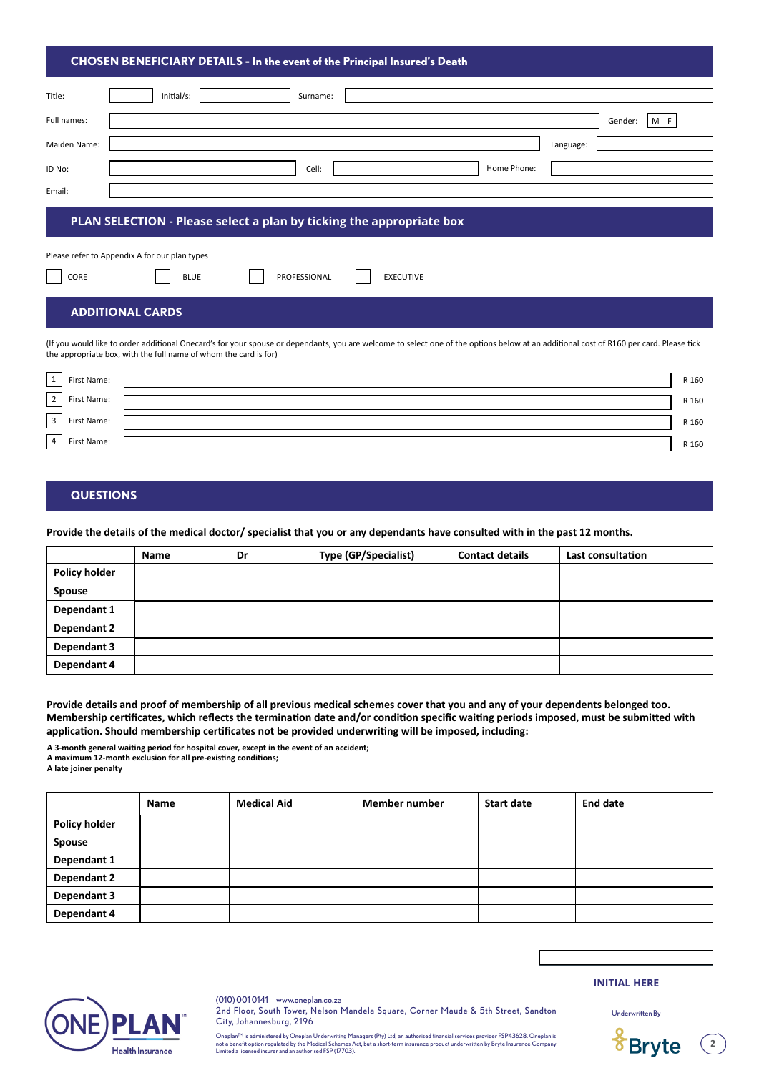#### **CHOSEN BENEFICIARY DETAILS - In the event of the Principal Insured's Death**

| Title:       | Initial/s:<br>Surname:                                               |           |                |
|--------------|----------------------------------------------------------------------|-----------|----------------|
| Full names:  |                                                                      |           | Gender:<br>M F |
| Maiden Name: |                                                                      | Language: |                |
| ID No:       | Home Phone:<br>Cell:                                                 |           |                |
| Email:       |                                                                      |           |                |
|              | PLAN SELECTION - Please select a plan by ticking the appropriate box |           |                |
|              | Please refer to Appendix A for our plan types                        |           |                |
| CORE         | PROFESSIONAL<br><b>EXECUTIVE</b><br><b>BLUE</b>                      |           |                |

#### **ADDITIONAL CARDS**

(If you would like to order additional Onecard's for your spouse or dependants, you are welcome to select one of the options below at an additional cost of R160 per card. Please tick the appropriate box, with the full name of whom the card is for)

| $\overline{\phantom{a}}$ | First Name: | R 160 |
|--------------------------|-------------|-------|
| 2 <sup>1</sup>           | First Name: | R 160 |
| 3 <sup>1</sup>           | First Name: | R 160 |
| 4'                       | First Name: | R 160 |

# **QUESTIONS**

**Provide the details of the medical doctor/ specialist that you or any dependants have consulted with in the past 12 months.**

|                      | <b>Name</b> | Dr | Type (GP/Specialist) | <b>Contact details</b> | Last consultation |
|----------------------|-------------|----|----------------------|------------------------|-------------------|
| <b>Policy holder</b> |             |    |                      |                        |                   |
| <b>Spouse</b>        |             |    |                      |                        |                   |
| Dependant 1          |             |    |                      |                        |                   |
| Dependant 2          |             |    |                      |                        |                   |
| Dependant 3          |             |    |                      |                        |                   |
| Dependant 4          |             |    |                      |                        |                   |

**Provide details and proof of membership of all previous medical schemes cover that you and any of your dependents belonged too. Membership certificates, which reflects the termination date and/or condition specific waiting periods imposed, must be submitted with application. Should membership certificates not be provided underwriting will be imposed, including:**

**A 3-month general waiting period for hospital cover, except in the event of an accident;** 

**A maximum 12-month exclusion for all pre-existing conditions;** 

**A late joiner penalty**

|                      | <b>Name</b> | <b>Medical Aid</b> | <b>Member number</b> | <b>Start date</b> | <b>End date</b> |
|----------------------|-------------|--------------------|----------------------|-------------------|-----------------|
| <b>Policy holder</b> |             |                    |                      |                   |                 |
| Spouse               |             |                    |                      |                   |                 |
| Dependant 1          |             |                    |                      |                   |                 |
| Dependant 2          |             |                    |                      |                   |                 |
| Dependant 3          |             |                    |                      |                   |                 |
| Dependant 4          |             |                    |                      |                   |                 |



(010) 001 0141 www.oneplan.co.za 2nd Floor, South Tower, Nelson Mandela Square, Corner Maude & 5th Street, Sandton City, Johannesburg, 2196

Oneplan™ is administered by Oneplan Underwriting Managers (Pty) Ltd, an authorised financial services provider FSP43628. Oneplan is<br>not a benefit option regulated by the Medical Schemes Act, but a short-term insurance prod

**INITIAL HERE**

Underwritten By

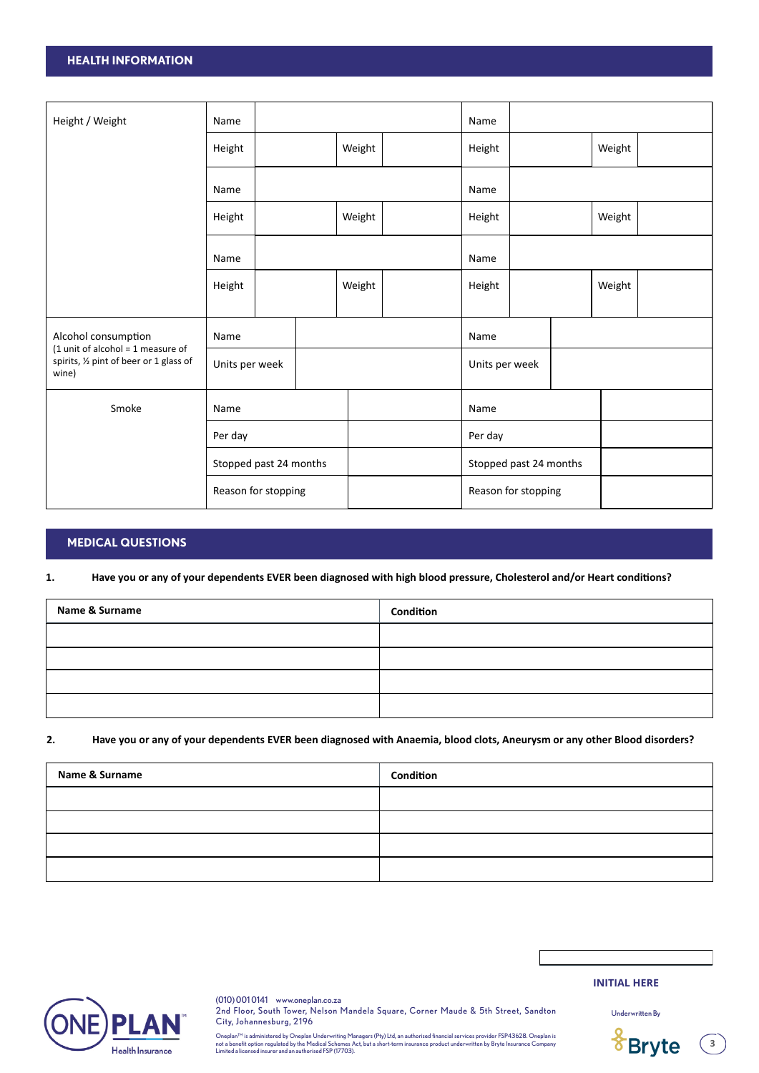# **HEALTH INFORMATION**

| Height / Weight<br>Name                                                                 |                     |                |  | Name                   |      |                |                     |  |        |  |
|-----------------------------------------------------------------------------------------|---------------------|----------------|--|------------------------|------|----------------|---------------------|--|--------|--|
|                                                                                         | Height              |                |  | Weight                 |      | Height         |                     |  | Weight |  |
|                                                                                         | Name                |                |  |                        |      | Name           |                     |  |        |  |
|                                                                                         | Height              |                |  | Weight                 |      | Height         |                     |  | Weight |  |
| Name                                                                                    |                     |                |  | Name                   |      |                |                     |  |        |  |
|                                                                                         | Height              |                |  | Weight                 |      | Height         |                     |  | Weight |  |
| Alcohol consumption                                                                     | Name                |                |  |                        |      | Name           |                     |  |        |  |
| $(1$ unit of alcohol = 1 measure of<br>spirits, 1/2 pint of beer or 1 glass of<br>wine) |                     | Units per week |  |                        |      | Units per week |                     |  |        |  |
| Smoke<br>Name                                                                           |                     |                |  |                        | Name |                |                     |  |        |  |
| Per day<br>Stopped past 24 months                                                       |                     |                |  | Per day                |      |                |                     |  |        |  |
|                                                                                         |                     |                |  | Stopped past 24 months |      |                |                     |  |        |  |
|                                                                                         | Reason for stopping |                |  |                        |      |                | Reason for stopping |  |        |  |

# **MEDICAL QUESTIONS**

### **1. Have you or any of your dependents EVER been diagnosed with high blood pressure, Cholesterol and/or Heart conditions?**

| Name & Surname | Condition |
|----------------|-----------|
|                |           |
|                |           |
|                |           |
|                |           |

#### **2. Have you or any of your dependents EVER been diagnosed with Anaemia, blood clots, Aneurysm or any other Blood disorders?**

| <b>Name &amp; Surname</b> | Condition |
|---------------------------|-----------|
|                           |           |
|                           |           |
|                           |           |
|                           |           |



(010) 001 0141 www.oneplan.co.za 2nd Floor, South Tower, Nelson Mandela Square, Corner Maude & 5th Street, Sandton City, Johannesburg, 2196

Oneplan™ is administered by Oneplan Underwriting Managers (Pty) Ltd, an authorised financial services provider FSP43628. Oneplan is<br>not a benefit option regulated by the Medical Schemes Act, but a short-term insurance prod

**INITIAL HERE**



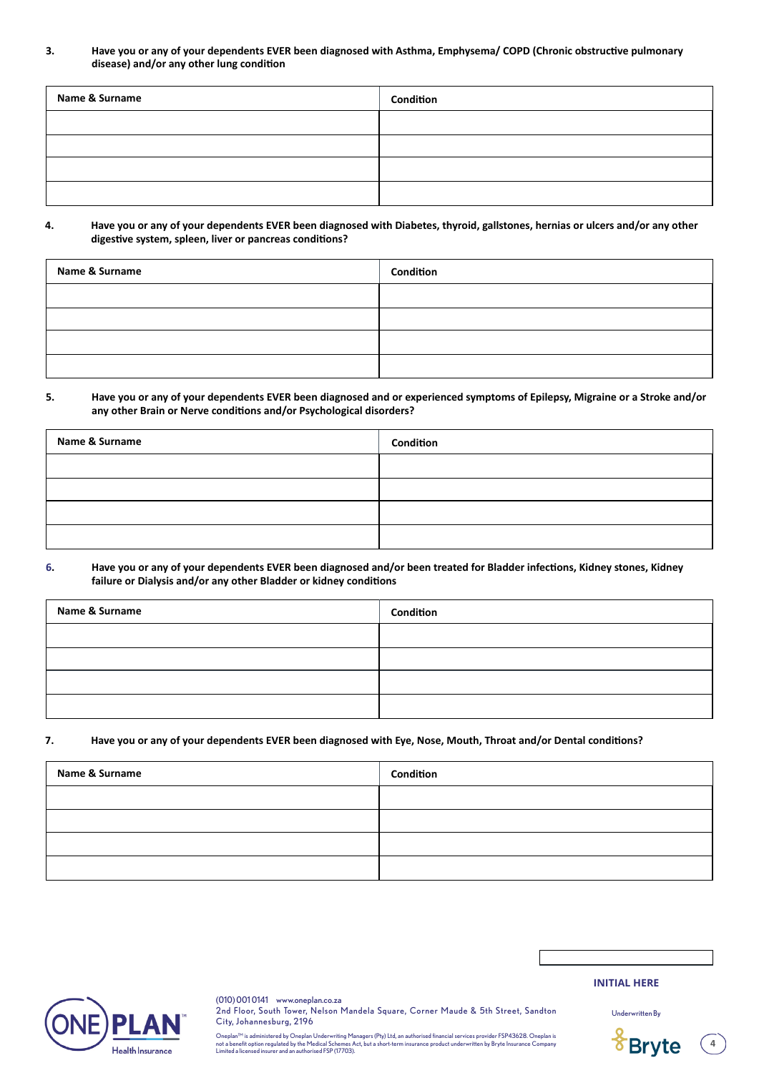**3. Have you or any of your dependents EVER been diagnosed with Asthma, Emphysema/ COPD (Chronic obstructive pulmonary disease) and/or any other lung condition**

| Name & Surname | Condition |
|----------------|-----------|
|                |           |
|                |           |
|                |           |
|                |           |

#### **4. Have you or any of your dependents EVER been diagnosed with Diabetes, thyroid, gallstones, hernias or ulcers and/or any other digestive system, spleen, liver or pancreas conditions?**

| Name & Surname | Condition |
|----------------|-----------|
|                |           |
|                |           |
|                |           |
|                |           |

# **5. Have you or any of your dependents EVER been diagnosed and or experienced symptoms of Epilepsy, Migraine or a Stroke and/or any other Brain or Nerve conditions and/or Psychological disorders?**

| Name & Surname | Condition |
|----------------|-----------|
|                |           |
|                |           |
|                |           |
|                |           |

#### **6. Have you or any of your dependents EVER been diagnosed and/or been treated for Bladder infections, Kidney stones, Kidney failure or Dialysis and/or any other Bladder or kidney conditions**

| Name & Surname | Condition |
|----------------|-----------|
|                |           |
|                |           |
|                |           |
|                |           |

# **7. Have you or any of your dependents EVER been diagnosed with Eye, Nose, Mouth, Throat and/or Dental conditions?**

| Name & Surname | Condition |
|----------------|-----------|
|                |           |
|                |           |
|                |           |
|                |           |



(010) 001 0141 www.oneplan.co.za 2nd Floor, South Tower, Nelson Mandela Square, Corner Maude & 5th Street, Sandton City, Johannesburg, 2196

Oneplan™ is administered by Oneplan Underwriting Managers (Pty) Ltd, an authorised financial services provider FSP43628. Oneplan is<br>not a benefit option regulated by the Medical Schemes Act, but a short-term insurance prod

**INITIAL HERE**

Underwritten By

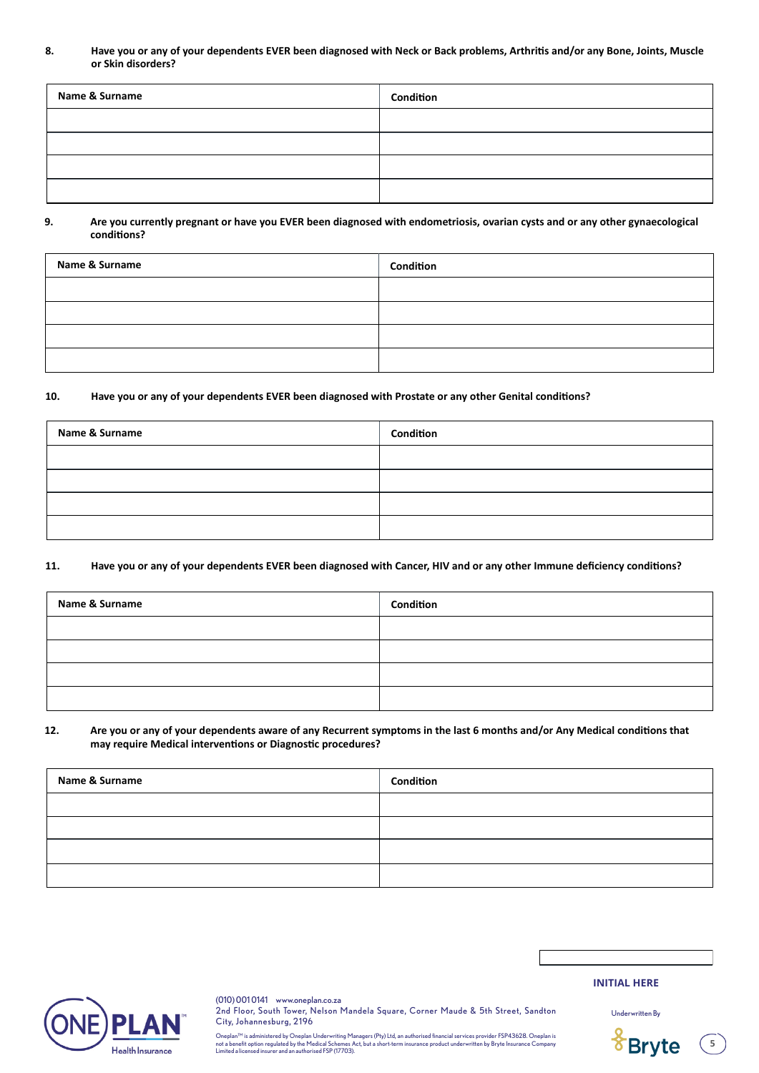**8. Have you or any of your dependents EVER been diagnosed with Neck or Back problems, Arthritis and/or any Bone, Joints, Muscle or Skin disorders?**

| <b>Name &amp; Surname</b> | Condition |
|---------------------------|-----------|
|                           |           |
|                           |           |
|                           |           |
|                           |           |

#### **9. Are you currently pregnant or have you EVER been diagnosed with endometriosis, ovarian cysts and or any other gynaecological conditions?**

| Name & Surname | Condition |
|----------------|-----------|
|                |           |
|                |           |
|                |           |
|                |           |

#### **10. Have you or any of your dependents EVER been diagnosed with Prostate or any other Genital conditions?**

| Name & Surname | Condition |
|----------------|-----------|
|                |           |
|                |           |
|                |           |
|                |           |

#### **11. Have you or any of your dependents EVER been diagnosed with Cancer, HIV and or any other Immune deficiency conditions?**

| Name & Surname | Condition |
|----------------|-----------|
|                |           |
|                |           |
|                |           |
|                |           |

#### **12. Are you or any of your dependents aware of any Recurrent symptoms in the last 6 months and/or Any Medical conditions that may require Medical interventions or Diagnostic procedures?**

| Name & Surname | Condition |
|----------------|-----------|
|                |           |
|                |           |
|                |           |
|                |           |



(010) 001 0141 www.oneplan.co.za 2nd Floor, South Tower, Nelson Mandela Square, Corner Maude & 5th Street, Sandton City, Johannesburg, 2196 Underwritten By

**INITIAL HERE**



Oneplan™ is administered by Oneplan Underwriting Managers (Pty) Ltd, an authorised financial services provider FSP43628. Oneplan is<br>not a benefit option regulated by the Medical Schemes Act, but a short-term insurance prod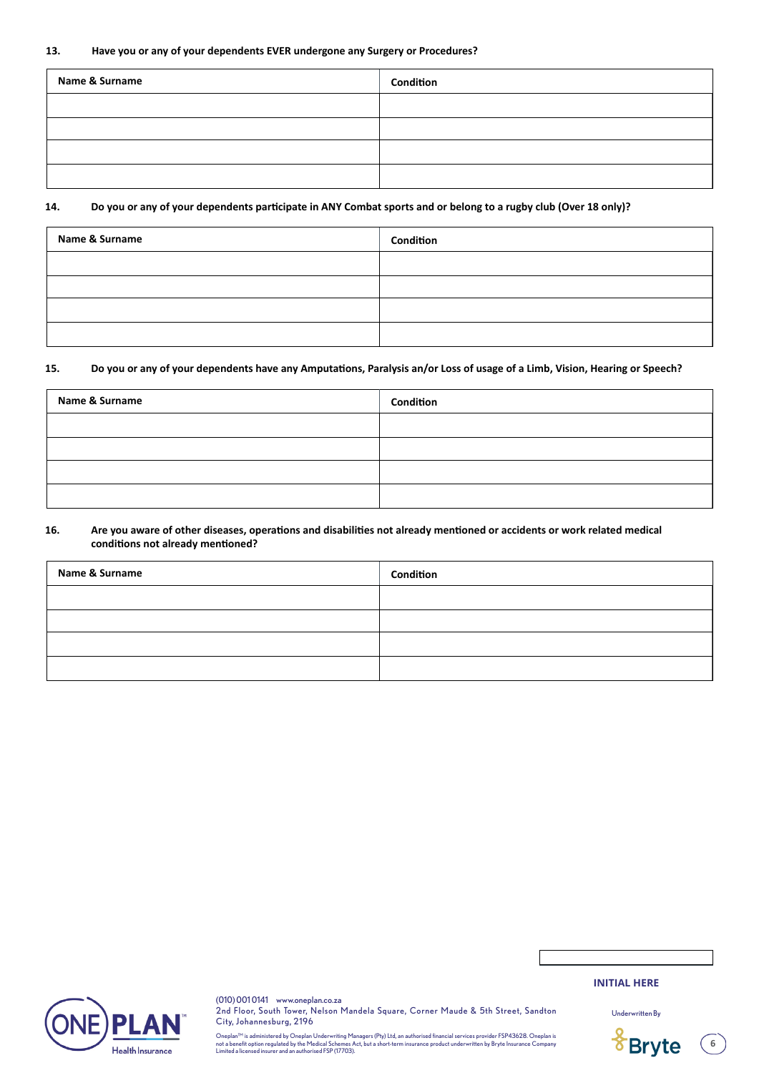#### **13. Have you or any of your dependents EVER undergone any Surgery or Procedures?**

| Name & Surname | Condition |  |
|----------------|-----------|--|
|                |           |  |
|                |           |  |
|                |           |  |
|                |           |  |

#### **14. Do you or any of your dependents participate in ANY Combat sports and or belong to a rugby club (Over 18 only)?**

| Name & Surname | Condition |
|----------------|-----------|
|                |           |
|                |           |
|                |           |
|                |           |

# **15. Do you or any of your dependents have any Amputations, Paralysis an/or Loss of usage of a Limb, Vision, Hearing or Speech?**

| Name & Surname | Condition |
|----------------|-----------|
|                |           |
|                |           |
|                |           |
|                |           |

#### **16. Are you aware of other diseases, operations and disabilities not already mentioned or accidents or work related medical conditions not already mentioned?**

| Name & Surname | Condition |
|----------------|-----------|
|                |           |
|                |           |
|                |           |
|                |           |



(010) 001 0141 www.oneplan.co.za 2nd Floor, South Tower, Nelson Mandela Square, Corner Maude & 5th Street, Sandton City, Johannesburg, 2196

Oneplan™ is administered by Oneplan Underwriting Managers (Pty) Ltd, an authorised financial services provider FSP43628. Oneplan is<br>not a benefit option regulated by the Medical Schemes Act, but a short-term insurance prod

# **INITIAL HERE**

Underwritten By

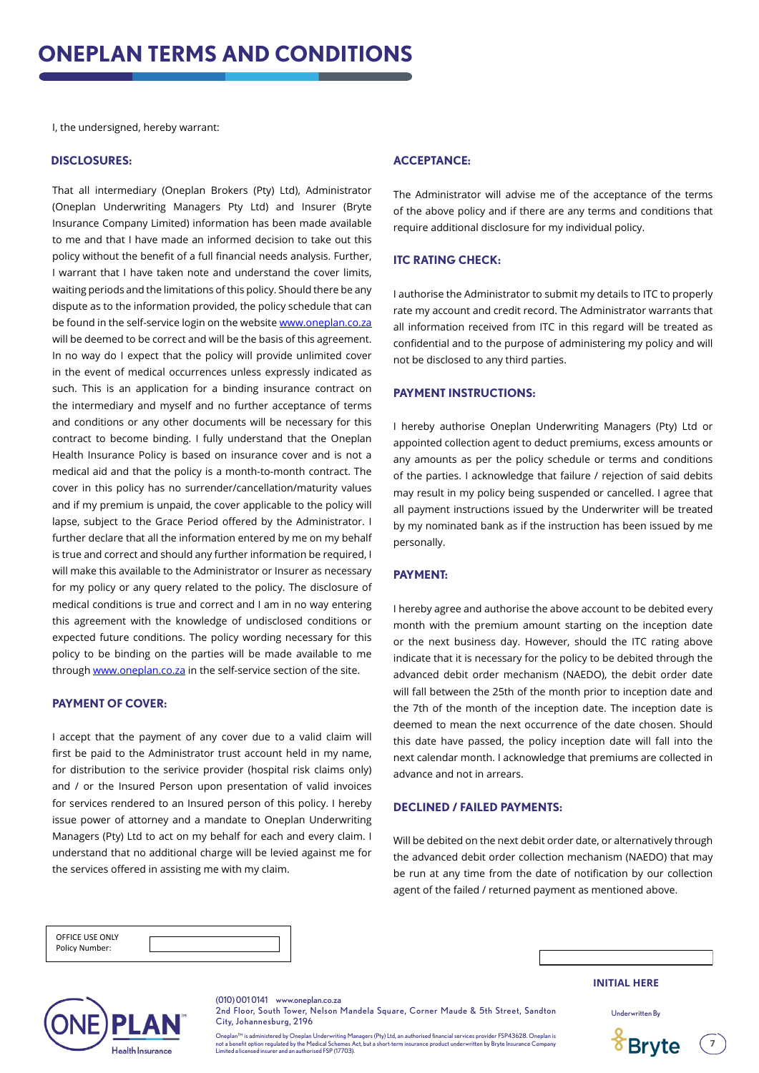I, the undersigned, hereby warrant:

#### **DISCLOSURES:**

That all intermediary (Oneplan Brokers (Pty) Ltd), Administrator (Oneplan Underwriting Managers Pty Ltd) and Insurer (Bryte Insurance Company Limited) information has been made available to me and that I have made an informed decision to take out this policy without the benefit of a full financial needs analysis. Further, I warrant that I have taken note and understand the cover limits, waiting periods and the limitations of this policy. Should there be any dispute as to the information provided, the policy schedule that can be found in the self-service login on the website www.oneplan.co.za will be deemed to be correct and will be the basis of this agreement. In no way do I expect that the policy will provide unlimited cover in the event of medical occurrences unless expressly indicated as such. This is an application for a binding insurance contract on the intermediary and myself and no further acceptance of terms and conditions or any other documents will be necessary for this contract to become binding. I fully understand that the Oneplan Health Insurance Policy is based on insurance cover and is not a medical aid and that the policy is a month-to-month contract. The cover in this policy has no surrender/cancellation/maturity values and if my premium is unpaid, the cover applicable to the policy will lapse, subject to the Grace Period offered by the Administrator. I further declare that all the information entered by me on my behalf is true and correct and should any further information be required, I will make this available to the Administrator or Insurer as necessary for my policy or any query related to the policy. The disclosure of medical conditions is true and correct and I am in no way entering this agreement with the knowledge of undisclosed conditions or expected future conditions. The policy wording necessary for this policy to be binding on the parties will be made available to me through www.oneplan.co.za in the self-service section of the site.

#### **PAYMENT OF COVER:**

I accept that the payment of any cover due to a valid claim will first be paid to the Administrator trust account held in my name, for distribution to the serivice provider (hospital risk claims only) and / or the Insured Person upon presentation of valid invoices for services rendered to an Insured person of this policy. I hereby issue power of attorney and a mandate to Oneplan Underwriting Managers (Pty) Ltd to act on my behalf for each and every claim. I understand that no additional charge will be levied against me for the services offered in assisting me with my claim.

#### **ACCEPTANCE:**

The Administrator will advise me of the acceptance of the terms of the above policy and if there are any terms and conditions that require additional disclosure for my individual policy.

# **ITC RATING CHECK:**

I authorise the Administrator to submit my details to ITC to properly rate my account and credit record. The Administrator warrants that all information received from ITC in this regard will be treated as confidential and to the purpose of administering my policy and will not be disclosed to any third parties.

#### **PAYMENT INSTRUCTIONS:**

I hereby authorise Oneplan Underwriting Managers (Pty) Ltd or appointed collection agent to deduct premiums, excess amounts or any amounts as per the policy schedule or terms and conditions of the parties. I acknowledge that failure / rejection of said debits may result in my policy being suspended or cancelled. I agree that all payment instructions issued by the Underwriter will be treated by my nominated bank as if the instruction has been issued by me personally.

#### **PAYMENT:**

I hereby agree and authorise the above account to be debited every month with the premium amount starting on the inception date or the next business day. However, should the ITC rating above indicate that it is necessary for the policy to be debited through the advanced debit order mechanism (NAEDO), the debit order date will fall between the 25th of the month prior to inception date and the 7th of the month of the inception date. The inception date is deemed to mean the next occurrence of the date chosen. Should this date have passed, the policy inception date will fall into the next calendar month. I acknowledge that premiums are collected in advance and not in arrears.

### **DECLINED / FAILED PAYMENTS:**

Will be debited on the next debit order date, or alternatively through the advanced debit order collection mechanism (NAEDO) that may be run at any time from the date of notification by our collection agent of the failed / returned payment as mentioned above.

| OFFICE USE ONLY |  |
|-----------------|--|
| Policy Number:  |  |

| ٠. |  |
|----|--|



(010) 001 0141 www.oneplan.co.za

2nd Floor, South Tower, Nelson Mandela Square, Corner Maude & 5th Street, Sandton City, Johannesburg, 2196

Oneplan™ is administered by Oneplan Underwriting Managers (Pty) Ltd, an authorised financial services provider FSP43628. Oneplan is<br>not a benefit option regulated by the Medical Schemes Act, but a short-term insurance prod

#### **INITIAL HERE**

Underwritten By

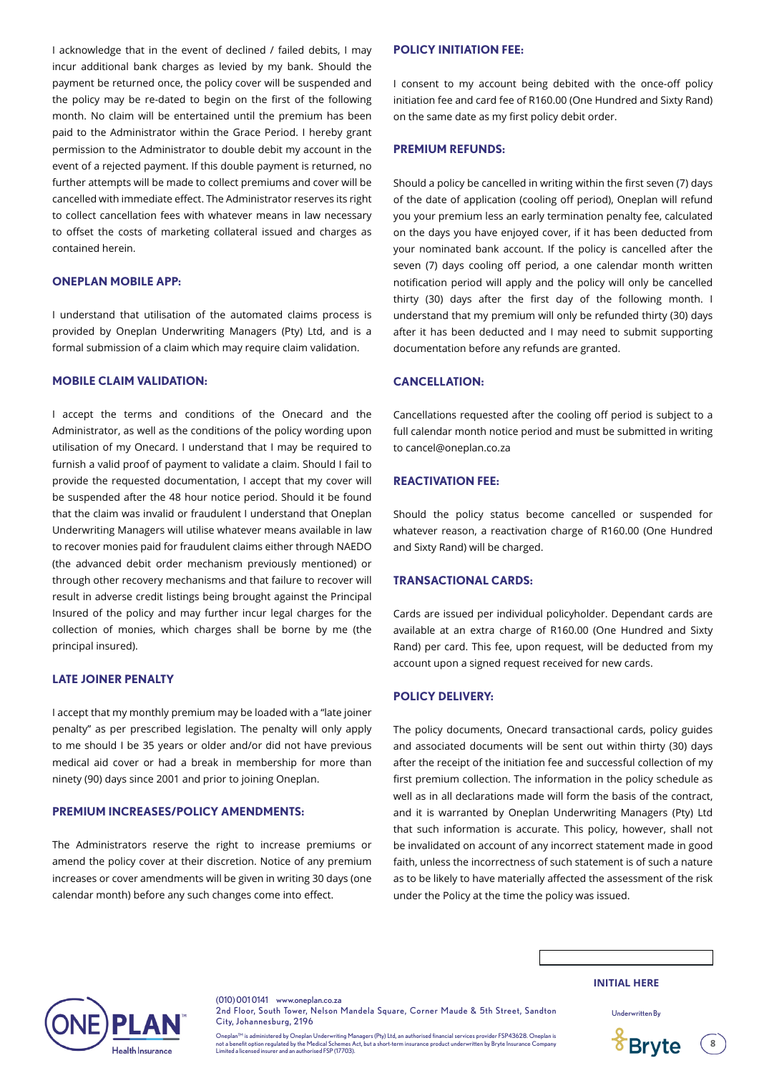I acknowledge that in the event of declined / failed debits, I may incur additional bank charges as levied by my bank. Should the payment be returned once, the policy cover will be suspended and the policy may be re-dated to begin on the first of the following month. No claim will be entertained until the premium has been paid to the Administrator within the Grace Period. I hereby grant permission to the Administrator to double debit my account in the event of a rejected payment. If this double payment is returned, no further attempts will be made to collect premiums and cover will be cancelled with immediate effect. The Administrator reserves its right to collect cancellation fees with whatever means in law necessary to offset the costs of marketing collateral issued and charges as contained herein.

#### **ONEPLAN MOBILE APP:**

I understand that utilisation of the automated claims process is provided by Oneplan Underwriting Managers (Pty) Ltd, and is a formal submission of a claim which may require claim validation.

#### **MOBILE CLAIM VALIDATION:**

I accept the terms and conditions of the Onecard and the Administrator, as well as the conditions of the policy wording upon utilisation of my Onecard. I understand that I may be required to furnish a valid proof of payment to validate a claim. Should I fail to provide the requested documentation, I accept that my cover will be suspended after the 48 hour notice period. Should it be found that the claim was invalid or fraudulent I understand that Oneplan Underwriting Managers will utilise whatever means available in law to recover monies paid for fraudulent claims either through NAEDO (the advanced debit order mechanism previously mentioned) or through other recovery mechanisms and that failure to recover will result in adverse credit listings being brought against the Principal Insured of the policy and may further incur legal charges for the collection of monies, which charges shall be borne by me (the principal insured).

#### **LATE JOINER PENALTY**

I accept that my monthly premium may be loaded with a "late joiner penalty" as per prescribed legislation. The penalty will only apply to me should I be 35 years or older and/or did not have previous medical aid cover or had a break in membership for more than ninety (90) days since 2001 and prior to joining Oneplan.

#### **PREMIUM INCREASES/POLICY AMENDMENTS:**

The Administrators reserve the right to increase premiums or amend the policy cover at their discretion. Notice of any premium increases or cover amendments will be given in writing 30 days (one calendar month) before any such changes come into effect.

#### **POLICY INITIATION FEE:**

I consent to my account being debited with the once-off policy initiation fee and card fee of R160.00 (One Hundred and Sixty Rand) on the same date as my first policy debit order.

#### **PREMIUM REFUNDS:**

Should a policy be cancelled in writing within the first seven (7) days of the date of application (cooling off period), Oneplan will refund you your premium less an early termination penalty fee, calculated on the days you have enjoyed cover, if it has been deducted from your nominated bank account. If the policy is cancelled after the seven (7) days cooling off period, a one calendar month written notification period will apply and the policy will only be cancelled thirty (30) days after the first day of the following month. I understand that my premium will only be refunded thirty (30) days after it has been deducted and I may need to submit supporting documentation before any refunds are granted.

# **CANCELLATION:**

Cancellations requested after the cooling off period is subject to a full calendar month notice period and must be submitted in writing to cancel@oneplan.co.za

#### **REACTIVATION FEE:**

Should the policy status become cancelled or suspended for whatever reason, a reactivation charge of R160.00 (One Hundred and Sixty Rand) will be charged.

#### **TRANSACTIONAL CARDS:**

Cards are issued per individual policyholder. Dependant cards are available at an extra charge of R160.00 (One Hundred and Sixty Rand) per card. This fee, upon request, will be deducted from my account upon a signed request received for new cards.

# **POLICY DELIVERY:**

The policy documents, Onecard transactional cards, policy guides and associated documents will be sent out within thirty (30) days after the receipt of the initiation fee and successful collection of my first premium collection. The information in the policy schedule as well as in all declarations made will form the basis of the contract, and it is warranted by Oneplan Underwriting Managers (Pty) Ltd that such information is accurate. This policy, however, shall not be invalidated on account of any incorrect statement made in good faith, unless the incorrectness of such statement is of such a nature as to be likely to have materially affected the assessment of the risk under the Policy at the time the policy was issued.



(010) 001 0141 www.oneplan.co.za 2nd Floor, South Tower, Nelson Mandela Square, Corner Maude & 5th Street, Sandton City, Johannesburg, 2196

Oneplan™ is administered by Oneplan Underwriting Managers (Pty) Ltd, an authorised financial services provider FSP43628. Oneplan is<br>not a benefit option regulated by the Medical Schemes Act, but a short-term insurance prod

#### **INITIAL HERE**

Underwritten By

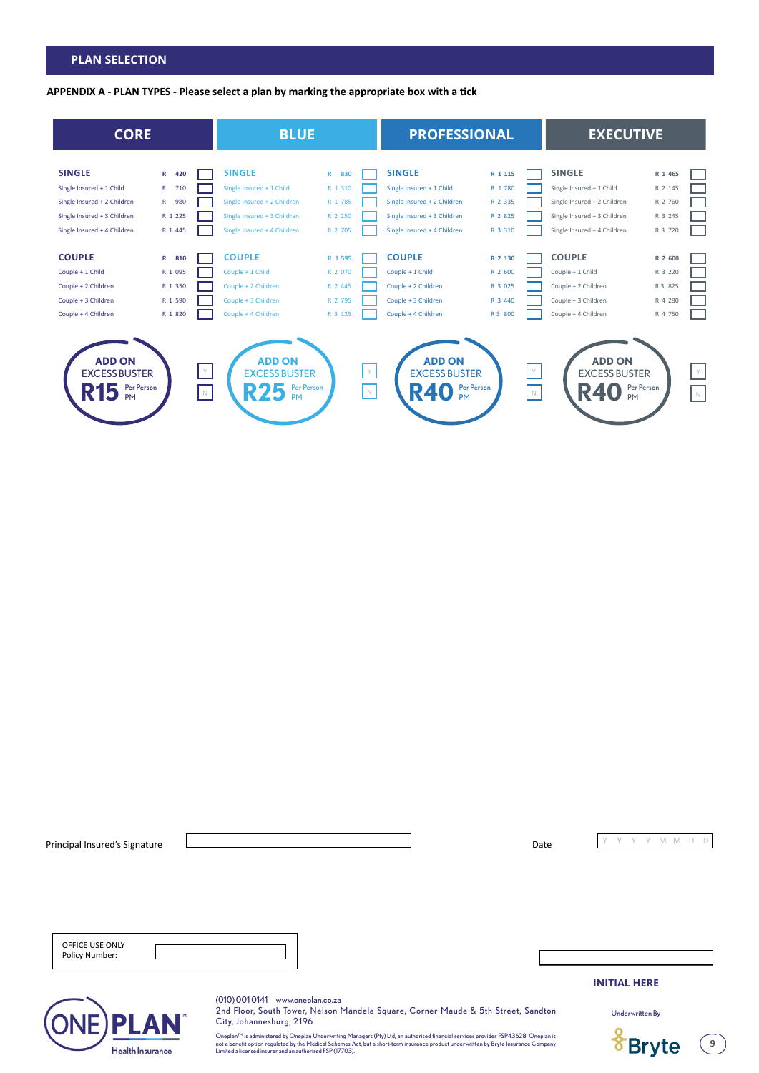# **PLAN SELECTION**

**APPENDIX A - PLAN TYPES - Please select a plan by marking the appropriate box with a tick**



| Principal Insured's Signature     | Date                                                                                                                                                                                                                                                                                    | M<br>M              | D<br>Ð |
|-----------------------------------|-----------------------------------------------------------------------------------------------------------------------------------------------------------------------------------------------------------------------------------------------------------------------------------------|---------------------|--------|
| OFFICE USE ONLY<br>Policy Number: |                                                                                                                                                                                                                                                                                         |                     |        |
|                                   |                                                                                                                                                                                                                                                                                         | <b>INITIAL HERE</b> |        |
| <b>PLAN</b>                       | (010) 0010141 www.oneplan.co.za<br>2nd Floor, South Tower, Nelson Mandela Square, Corner Maude & 5th Street, Sandton<br>City, Johannesburg, 2196<br>Oneplan™ is administered by Oneplan Underwriting Managers (Pty) Ltd, an authorised financial services provider FSP43628. Oneplan is | Underwritten By     |        |
| <b>Health Insurance</b>           | not a benefit option regulated by the Medical Schemes Act, but a short-term insurance product underwritten by Bryte Insurance Company<br>Limited a licensed insurer and an authorised FSP (17703).                                                                                      |                     |        |